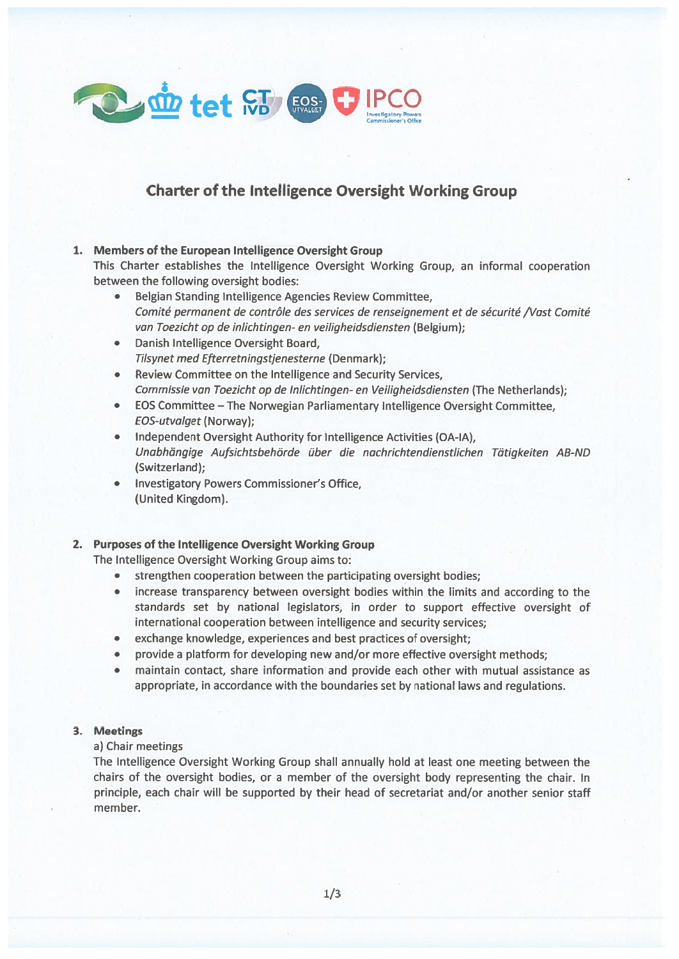

# Charter of the Intelligence Oversight Working Group

# 1. Members of the European Intelligence Oversight Group

This Charter establishes the Intelligence Oversight Working Group, an informal cooperation between the following oversight bodies:

- Belgian Standing Intelligence Agencies Review Committee, Comité permanen<sup>t</sup> de contrôle des services de renseignement et de sécurité /Vast Comité van Toezicht op de inlichtingen- en veiligheidsdiensten (Belgium);
- • Danish Intelligence Oversight Board, Tilsynet med Efterretningstjenesterne (Denmark);
- Review Committee on the Intelligence and Security Services, Commissie van Toezicht op de Inlichtingen- en Veiligheidsdiensten (The Netherlands);
- EOS Committee The Norwegian Parliamentary Intelligence Oversight Committee, EOS-utvalget (Norway);
- Independent Oversight Authority for Intelligence Activities (OA-IA), Unabhöngige Aufsichtsbehörde über die nachrichtendienstlichen Tütigkeiten AB-ND (Switzerland);
- **Investigatory Powers Commissioner's Office,** (United Kingdom).

# 2. Purposes of the Intelligence Oversight Working Group

The Intelligence Oversight Working Group aims to:

- strengthen cooperation between the participating oversight bodies;
- increase transparency between oversight bodies within the limits and according to the standards set by national legislators, in order to suppor<sup>t</sup> effective oversight of international cooperation between intelligence and security services;
- exchange knowledge, experiences and best practices of oversight;
- provide <sup>a</sup> platform for developing new and/or more effective oversight methods;
- maintain contact, share information and provide each other with mutual assistance as appropriate, in accordance with the boundaries set by national Iaws and regulations.

# 3. Meetings

## a) Chair meetings

The Intelligence Oversight Working Group shall annually hold at least one meeting between the chairs of the oversight bodies, or <sup>a</sup> member of the oversight body representing the chair. In principle, each chair will be supported by their head of secretariat and/or another senior staff member.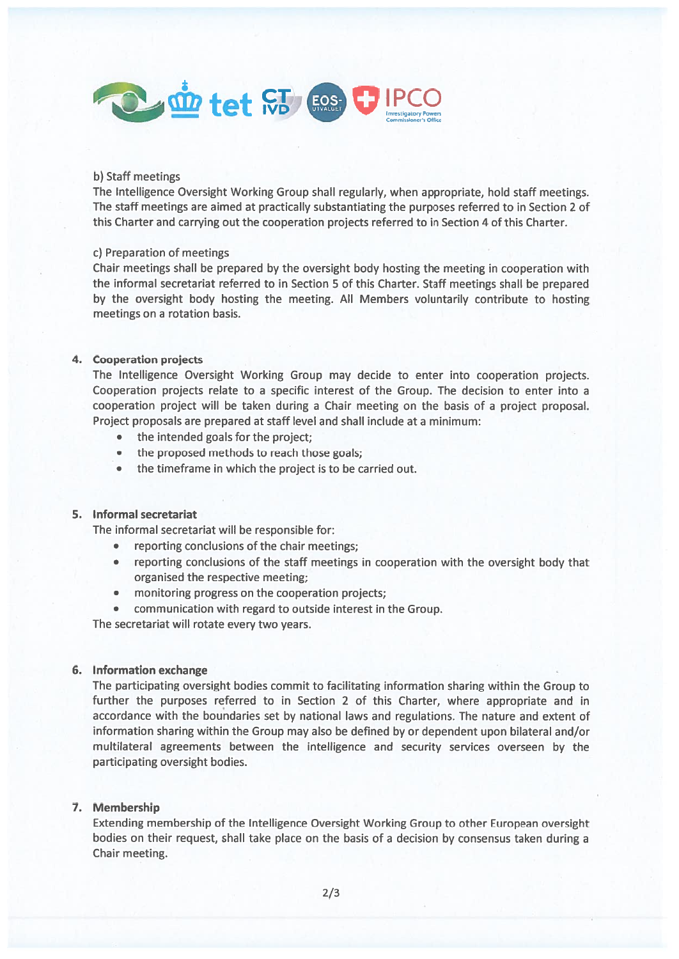

#### b) Staff meetings

The Intelligence Oversight Working Group shali regularly, when appropriate, hold staff meetings. The staff meetings are aimed at practically substantiating the purposes referred to in Section 2 of this Charter and carrying out the cooperation projects referred to in Section 4 of this Charter.

#### c) Preparation of meetings

Chair meetings shali be prepared by the oversight body hosting the meeting in cooperation with the informal secretariat referred to in Section 5 of this Charter. Staff meetings shali be prepared by the oversight body hosting the meeting. All Members voluntarily contribute to hosting meetings on <sup>a</sup> rotation basis.

#### 4. Cooperation projects

The Intelligence Oversight Working Group may decide to enter into cooperation projects. Cooperation projects relate to <sup>a</sup> specific interest of the Group. The decision to enter into <sup>a</sup> cooperation project will be taken during <sup>a</sup> Chair meeting on the basis of <sup>a</sup> project proposal. Project proposals are prepared at staff level and shail include at <sup>a</sup> minimum:

- the intended goals for the project;
- •the proposed methods to reach those goals;
- •the timeframe in which the project is to be carried out.

#### 5. Informal secretariat

The informal secretariat will be responsible for:

- •reporting conclusions of the chair meetings;
- • reporting conclusions of the staff meetings in cooperation with the oversight body that organised the respective meeting;
- monitoring progress on the cooperation projects;
- communication with regard to outside interest in the Group.

The secretariat will rotate every two years.

### 6. Information exchange

The participating oversight bodies commit to facilitating information sharing within the Group to further the purposes referred to in Section 2 of this Charter, where appropriate and in accordance with the boundaries set by national laws and regulations. The nature and extent of information sharing within the Group may also be defined by or dependent upon bilateral and/or muftilateral agreements between the intelligence and security services overseen by the participating oversight bodies.

## 7. Membership

Extending membership of the lntelligence Oversight Working Group to other European oversight bodies on their request, shall take place on the basis of <sup>a</sup> decision by consensus taken during <sup>a</sup> Chair meeting.